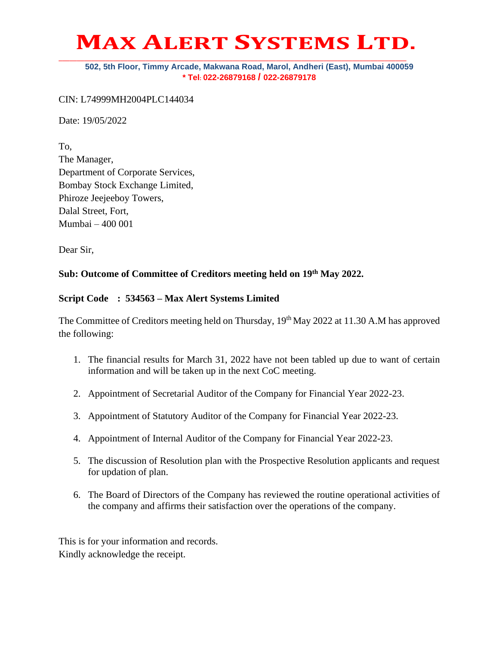# **MAX ALERT SYSTEMS LTD. \_\_\_\_\_\_\_\_\_\_\_\_\_\_\_\_\_\_\_\_\_\_\_\_\_\_\_\_\_\_\_\_\_\_\_\_\_\_\_\_\_\_\_\_\_\_\_\_\_\_\_\_\_\_\_\_\_\_\_\_\_\_\_\_\_\_\_\_\_\_\_\_\_\_\_\_\_\_\_\_\_\_\_\_\_\_\_\_\_\_\_\_\_\_\_\_**

#### **502, 5th Floor, Timmy Arcade, Makwana Road, Marol, Andheri (East), Mumbai 400059 \* Tel: 022-26879168 / 022-26879178**

#### CIN: L74999MH2004PLC144034

Date: 19/05/2022

To, The Manager, Department of Corporate Services, Bombay Stock Exchange Limited, Phiroze Jeejeeboy Towers, Dalal Street, Fort, Mumbai – 400 001

Dear Sir,

### **Sub: Outcome of Committee of Creditors meeting held on 19th May 2022.**

### **Script Code : 534563 – Max Alert Systems Limited**

The Committee of Creditors meeting held on Thursday, 19<sup>th</sup> May 2022 at 11.30 A.M has approved the following:

- 1. The financial results for March 31, 2022 have not been tabled up due to want of certain information and will be taken up in the next CoC meeting.
- 2. Appointment of Secretarial Auditor of the Company for Financial Year 2022-23.
- 3. Appointment of Statutory Auditor of the Company for Financial Year 2022-23.
- 4. Appointment of Internal Auditor of the Company for Financial Year 2022-23.
- 5. The discussion of Resolution plan with the Prospective Resolution applicants and request for updation of plan.
- 6. The Board of Directors of the Company has reviewed the routine operational activities of the company and affirms their satisfaction over the operations of the company.

This is for your information and records. Kindly acknowledge the receipt.